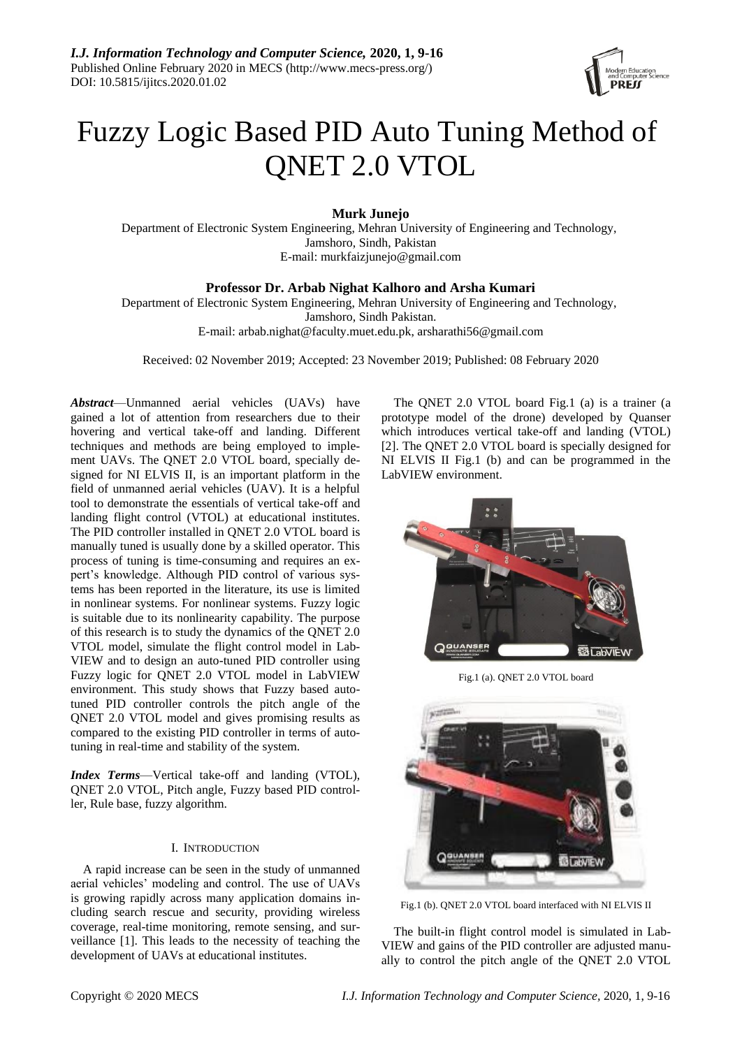

# Fuzzy Logic Based PID Auto Tuning Method of QNET 2.0 VTOL

**Murk Junejo**

Department of Electronic System Engineering, Mehran University of Engineering and Technology, Jamshoro, Sindh, Pakistan E-mail: murkfaizjunejo@gmail.com

**Professor Dr. Arbab Nighat Kalhoro and Arsha Kumari**

Department of Electronic System Engineering, Mehran University of Engineering and Technology, Jamshoro, Sindh Pakistan.

E-mail[: arbab.nighat@faculty.muet.edu.pk,](mailto:arbab.nighat@faculty.muet.edu.pk) arsharathi56@gmail.com

Received: 02 November 2019; Accepted: 23 November 2019; Published: 08 February 2020

*Abstract*—Unmanned aerial vehicles (UAVs) have gained a lot of attention from researchers due to their hovering and vertical take-off and landing. Different techniques and methods are being employed to implement UAVs. The QNET 2.0 VTOL board, specially designed for NI ELVIS II, is an important platform in the field of unmanned aerial vehicles (UAV). It is a helpful tool to demonstrate the essentials of vertical take-off and landing flight control (VTOL) at educational institutes. The PID controller installed in QNET 2.0 VTOL board is manually tuned is usually done by a skilled operator. This process of tuning is time-consuming and requires an expert's knowledge. Although PID control of various systems has been reported in the literature, its use is limited in nonlinear systems. For nonlinear systems. Fuzzy logic is suitable due to its nonlinearity capability. The purpose of this research is to study the dynamics of the QNET 2.0 VTOL model, simulate the flight control model in Lab-VIEW and to design an auto-tuned PID controller using Fuzzy logic for QNET 2.0 VTOL model in LabVIEW environment. This study shows that Fuzzy based autotuned PID controller controls the pitch angle of the QNET 2.0 VTOL model and gives promising results as compared to the existing PID controller in terms of autotuning in real-time and stability of the system.

*Index Terms*—Vertical take-off and landing (VTOL), QNET 2.0 VTOL, Pitch angle, Fuzzy based PID controller, Rule base, fuzzy algorithm.

# I. INTRODUCTION

A rapid increase can be seen in the study of unmanned aerial vehicles' modeling and control. The use of UAVs is growing rapidly across many application domains including search rescue and security, providing wireless coverage, real-time monitoring, remote sensing, and surveillance [1]. This leads to the necessity of teaching the development of UAVs at educational institutes.

The QNET 2.0 VTOL board Fig.1 (a) is a trainer (a prototype model of the drone) developed by Quanser which introduces vertical take-off and landing (VTOL) [2]. The QNET 2.0 VTOL board is specially designed for NI ELVIS II Fig.1 (b) and can be programmed in the LabVIEW environment.



Fig.1 (a). QNET 2.0 VTOL board



Fig.1 (b). QNET 2.0 VTOL board interfaced with NI ELVIS II

The built-in flight control model is simulated in Lab-VIEW and gains of the PID controller are adjusted manually to control the pitch angle of the QNET 2.0 VTOL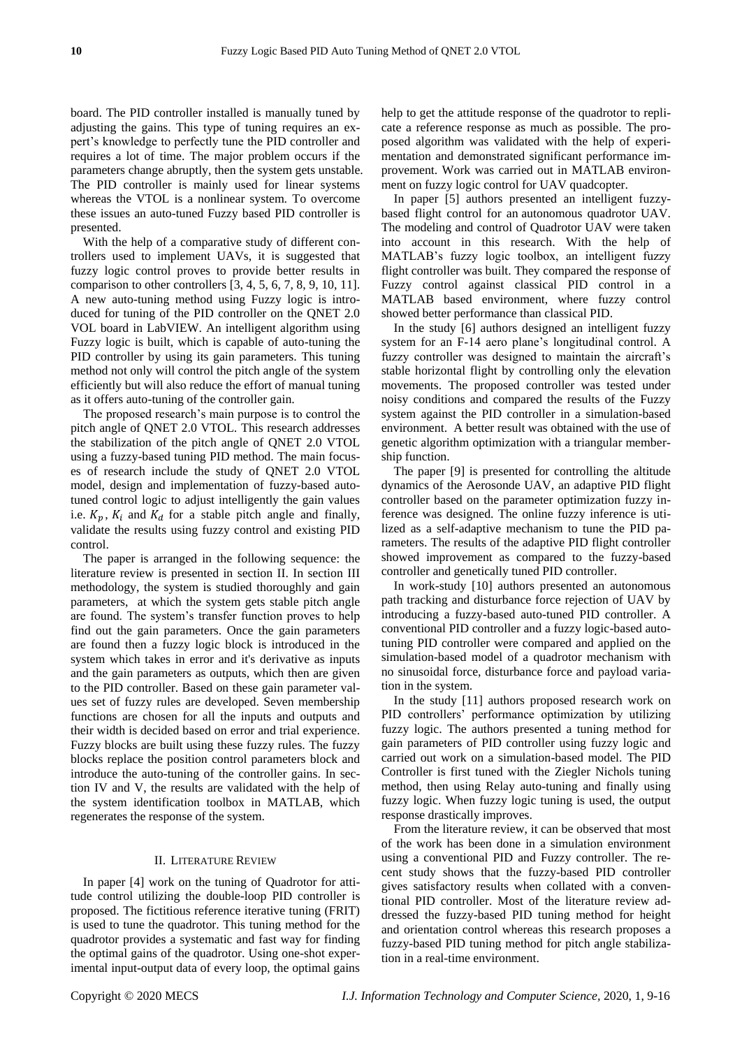board. The PID controller installed is manually tuned by adjusting the gains. This type of tuning requires an expert's knowledge to perfectly tune the PID controller and requires a lot of time. The major problem occurs if the parameters change abruptly, then the system gets unstable. The PID controller is mainly used for linear systems whereas the VTOL is a nonlinear system. To overcome these issues an auto-tuned Fuzzy based PID controller is presented.

With the help of a comparative study of different controllers used to implement UAVs, it is suggested that fuzzy logic control proves to provide better results in comparison to other controllers [3, 4, 5, 6, 7, 8, 9, 10, 11]. A new auto-tuning method using Fuzzy logic is introduced for tuning of the PID controller on the QNET 2.0 VOL board in LabVIEW. An intelligent algorithm using Fuzzy logic is built, which is capable of auto-tuning the PID controller by using its gain parameters. This tuning method not only will control the pitch angle of the system efficiently but will also reduce the effort of manual tuning as it offers auto-tuning of the controller gain.

The proposed research's main purpose is to control the pitch angle of QNET 2.0 VTOL. This research addresses the stabilization of the pitch angle of QNET 2.0 VTOL using a fuzzy-based tuning PID method. The main focuses of research include the study of QNET 2.0 VTOL model, design and implementation of fuzzy-based autotuned control logic to adjust intelligently the gain values i.e.  $K_n$ ,  $K_i$  and  $K_d$  for a stable pitch angle and finally, validate the results using fuzzy control and existing PID control.

The paper is arranged in the following sequence: the literature review is presented in section II. In section III methodology, the system is studied thoroughly and gain parameters, at which the system gets stable pitch angle are found. The system's transfer function proves to help find out the gain parameters. Once the gain parameters are found then a fuzzy logic block is introduced in the system which takes in error and it's derivative as inputs and the gain parameters as outputs, which then are given to the PID controller. Based on these gain parameter values set of fuzzy rules are developed. Seven membership functions are chosen for all the inputs and outputs and their width is decided based on error and trial experience. Fuzzy blocks are built using these fuzzy rules. The fuzzy blocks replace the position control parameters block and introduce the auto-tuning of the controller gains. In section IV and V, the results are validated with the help of the system identification toolbox in MATLAB, which regenerates the response of the system.

# II. LITERATURE REVIEW

In paper [4] work on the tuning of Quadrotor for attitude control utilizing the double-loop PID controller is proposed. The fictitious reference iterative tuning (FRIT) is used to tune the quadrotor. This tuning method for the quadrotor provides a systematic and fast way for finding the optimal gains of the quadrotor. Using one-shot experimental input-output data of every loop, the optimal gains help to get the attitude response of the quadrotor to replicate a reference response as much as possible. The proposed algorithm was validated with the help of experimentation and demonstrated significant performance improvement. Work was carried out in MATLAB environment on fuzzy logic control for UAV quadcopter.

In paper [5] authors presented an intelligent fuzzybased flight control for an autonomous quadrotor UAV. The modeling and control of Quadrotor UAV were taken into account in this research. With the help of MATLAB's fuzzy logic toolbox, an intelligent fuzzy flight controller was built. They compared the response of Fuzzy control against classical PID control in a MATLAB based environment, where fuzzy control showed better performance than classical PID.

In the study [6] authors designed an intelligent fuzzy system for an F-14 aero plane's longitudinal control. A fuzzy controller was designed to maintain the aircraft's stable horizontal flight by controlling only the elevation movements. The proposed controller was tested under noisy conditions and compared the results of the Fuzzy system against the PID controller in a simulation-based environment. A better result was obtained with the use of genetic algorithm optimization with a triangular membership function.

The paper [9] is presented for controlling the altitude dynamics of the Aerosonde UAV, an adaptive PID flight controller based on the parameter optimization fuzzy inference was designed. The online fuzzy inference is utilized as a self-adaptive mechanism to tune the PID parameters. The results of the adaptive PID flight controller showed improvement as compared to the fuzzy-based controller and genetically tuned PID controller.

In work-study [10] authors presented an autonomous path tracking and disturbance force rejection of UAV by introducing a fuzzy-based auto-tuned PID controller. A conventional PID controller and a fuzzy logic-based autotuning PID controller were compared and applied on the simulation-based model of a quadrotor mechanism with no sinusoidal force, disturbance force and payload variation in the system.

In the study [11] authors proposed research work on PID controllers' performance optimization by utilizing fuzzy logic. The authors presented a tuning method for gain parameters of PID controller using fuzzy logic and carried out work on a simulation-based model. The PID Controller is first tuned with the Ziegler Nichols tuning method, then using Relay auto-tuning and finally using fuzzy logic. When fuzzy logic tuning is used, the output response drastically improves.

From the literature review, it can be observed that most of the work has been done in a simulation environment using a conventional PID and Fuzzy controller. The recent study shows that the fuzzy-based PID controller gives satisfactory results when collated with a conventional PID controller. Most of the literature review addressed the fuzzy-based PID tuning method for height and orientation control whereas this research proposes a fuzzy-based PID tuning method for pitch angle stabilization in a real-time environment.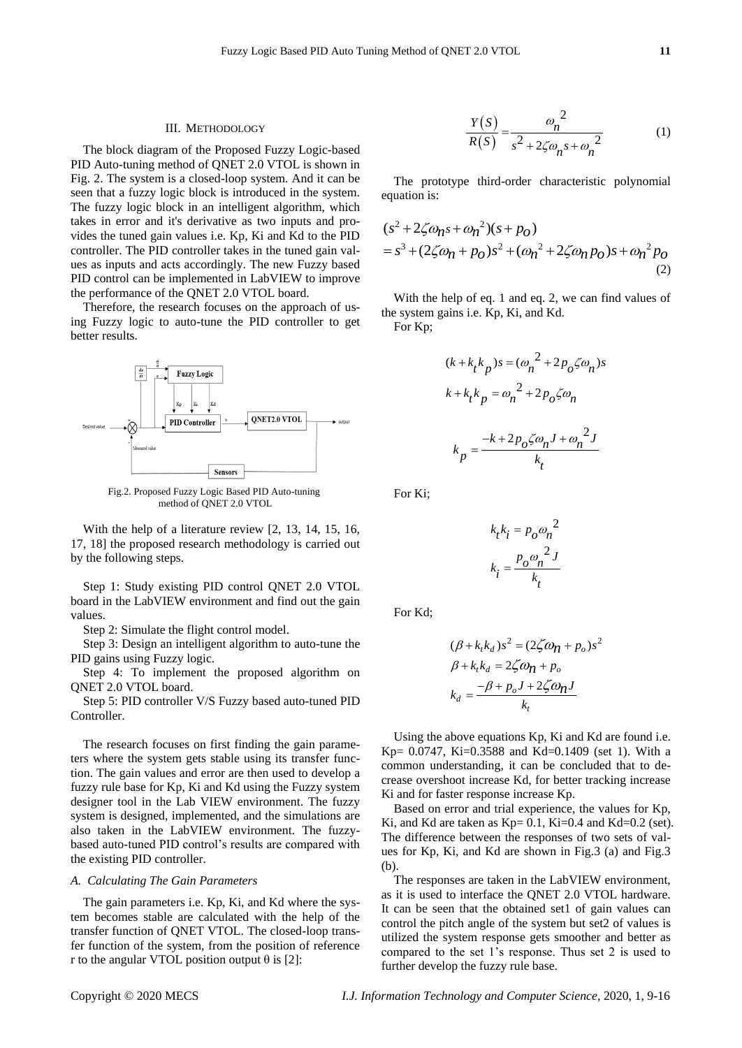# III. METHODOLOGY

The block diagram of the Proposed Fuzzy Logic-based PID Auto-tuning method of QNET 2.0 VTOL is shown in Fig. 2. The system is a closed-loop system. And it can be seen that a fuzzy logic block is introduced in the system. The fuzzy logic block in an intelligent algorithm, which takes in error and it's derivative as two inputs and provides the tuned gain values i.e. Kp, Ki and Kd to the PID controller. The PID controller takes in the tuned gain values as inputs and acts accordingly. The new Fuzzy based PID control can be implemented in LabVIEW to improve the performance of the QNET 2.0 VTOL board.

Therefore, the research focuses on the approach of using Fuzzy logic to auto-tune the PID controller to get better results.



Fig.2. Proposed Fuzzy Logic Based PID Auto-tuning method of QNET 2.0 VTOL

With the help of a literature review [2, 13, 14, 15, 16, 17, 18] the proposed research methodology is carried out by the following steps.

Step 1: Study existing PID control QNET 2.0 VTOL board in the LabVIEW environment and find out the gain values.

Step 2: Simulate the flight control model.

Step 3: Design an intelligent algorithm to auto-tune the PID gains using Fuzzy logic.

Step 4: To implement the proposed algorithm on QNET 2.0 VTOL board.

Step 5: PID controller V/S Fuzzy based auto-tuned PID Controller.

The research focuses on first finding the gain parameters where the system gets stable using its transfer function. The gain values and error are then used to develop a fuzzy rule base for Kp, Ki and Kd using the Fuzzy system designer tool in the Lab VIEW environment. The fuzzy system is designed, implemented, and the simulations are also taken in the LabVIEW environment. The fuzzybased auto-tuned PID control's results are compared with the existing PID controller.

# *A. Calculating The Gain Parameters*

The gain parameters i.e. Kp, Ki, and Kd where the system becomes stable are calculated with the help of the transfer function of QNET VTOL. The closed-loop transfer function of the system, from the position of reference r to the angular VTOL position output  $\theta$  is [2]:

$$
\frac{Y(S)}{R(S)} = \frac{\omega_n^2}{s^2 + 2\zeta\omega_n s + \omega_n^2}
$$
 (1)

The prototype third-order characteristic polynomial equation is:

equation is:  
\n
$$
(s^{2} + 2\zeta\omega_{n}s + \omega_{n}^{2})(s + p_{0})
$$
\n
$$
= s^{3} + (2\zeta\omega_{n} + p_{0})s^{2} + (\omega_{n}^{2} + 2\zeta\omega_{n}p_{0})s + \omega_{n}^{2}p_{0}
$$
\n(2)

With the help of eq. 1 and eq. 2, we can find values of the system gains i.e. Kp, Ki, and Kd.

For Kp;

$$
(k + k_t k_p)s = (\omega_n^2 + 2p_o \zeta \omega_n)s
$$
  

$$
k + k_t k_p = \omega_n^2 + 2p_o \zeta \omega_n
$$
  

$$
k_p = \frac{-k + 2p_o \zeta \omega_n J + \omega_n^2 J}{k_t}
$$

For Ki;

$$
k_t k_i = p_o \omega_n^2
$$

$$
k_i = \frac{p_o \omega_n^2 J}{k_t}
$$

For Kd;

$$
(\beta + k_t k_d) s^2 = (2\zeta \omega_{\mathbf{n}} + p_o) s^2
$$
  

$$
\beta + k_t k_d = 2\zeta \omega_{\mathbf{n}} + p_o
$$
  

$$
k_d = \frac{-\beta + p_o J + 2\zeta \omega_{\mathbf{n}} J}{k_t}
$$

Using the above equations Kp, Ki and Kd are found i.e. Kp=  $0.0747$ , Ki= $0.3588$  and Kd= $0.1409$  (set 1). With a common understanding, it can be concluded that to decrease overshoot increase Kd, for better tracking increase Ki and for faster response increase Kp.

Based on error and trial experience, the values for Kp, Ki, and Kd are taken as  $Kp= 0.1$ , Ki=0.4 and Kd=0.2 (set). The difference between the responses of two sets of values for Kp, Ki, and Kd are shown in Fig.3 (a) and Fig.3 (b).

The responses are taken in the LabVIEW environment, as it is used to interface the QNET 2.0 VTOL hardware. It can be seen that the obtained set1 of gain values can control the pitch angle of the system but set2 of values is utilized the system response gets smoother and better as compared to the set 1's response. Thus set 2 is used to further develop the fuzzy rule base.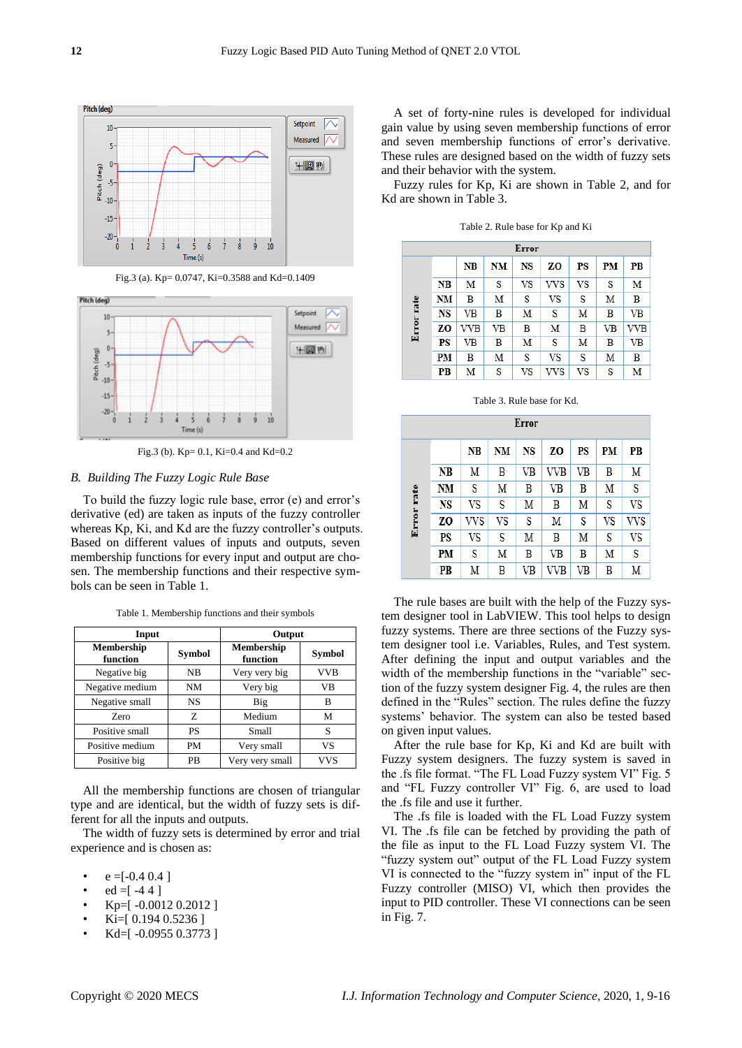

Fig.3 (a). Kp= 0.0747, Ki=0.3588 and Kd=0.1409



Fig.3 (b). Kp= 0.1, Ki=0.4 and Kd=0.2

# *B. Building The Fuzzy Logic Rule Base*

To build the fuzzy logic rule base, error (e) and error's derivative (ed) are taken as inputs of the fuzzy controller whereas Kp, Ki, and Kd are the fuzzy controller's outputs. Based on different values of inputs and outputs, seven membership functions for every input and output are chosen. The membership functions and their respective symbols can be seen in Table 1.

| Input                  |           | Output                        |               |  |
|------------------------|-----------|-------------------------------|---------------|--|
| Membership<br>function | Symbol    | <b>Membership</b><br>function | <b>Symbol</b> |  |
| Negative big           | NB        | Very very big                 | <b>VVB</b>    |  |
| Negative medium        | NM        | Very big                      | VB            |  |
| Negative small         | <b>NS</b> | Big                           | в             |  |
| Zero                   | Z         | Medium                        | М             |  |
| Positive small         | <b>PS</b> | Small                         | S             |  |
| Positive medium        | PM        | Very small                    | VS            |  |
| Positive big           | <b>PB</b> | Very very small               | vvs           |  |

Table 1. Membership functions and their symbols

All the membership functions are chosen of triangular type and are identical, but the width of fuzzy sets is different for all the inputs and outputs.

The width of fuzzy sets is determined by error and trial experience and is chosen as:

- $e = [-0.4 \, 0.4]$
- $ed = [-44]$
- Kp=[ -0.0012 0.2012 ]
- Ki=[ 0.194 0.5236 ]
- Kd=[ -0.0955 0.3773 ]

A set of forty-nine rules is developed for individual gain value by using seven membership functions of error and seven membership functions of error's derivative. These rules are designed based on the width of fuzzy sets and their behavior with the system.

Fuzzy rules for Kp, Ki are shown in Table 2, and for Kd are shown in Table 3.

| Error      |     |            |    |    |     |    |    |     |
|------------|-----|------------|----|----|-----|----|----|-----|
|            |     | NB         | NM | NS | ZΟ  | PS | PМ | PВ  |
|            | NB  | М          | S  | VS | vvs | VS | S  | М   |
|            | NΜ  | B          | Μ  | S  | VS  | S  | Μ  | B   |
| Error rate | NS  | VB         | В  | Μ  | S   | Μ  | B  | VB  |
|            | ZO. | <b>VVB</b> | VB | B  | М   | B  | VB | VVB |
|            | PS  | VB         | В  | Μ  | S   | Μ  | B  | VB  |
|            | PМ  | В          | Μ  | S  | VS  | S  | Μ  | B   |
|            | PB  | Μ          | S  | VS | vvs | VS | S  | М   |

Table 2. Rule base for Kp and Ki

| Table 3. Rule base for Kd. |  |  |  |  |  |
|----------------------------|--|--|--|--|--|
|----------------------------|--|--|--|--|--|

| Error      |    |     |    |    |     |    |    |     |
|------------|----|-----|----|----|-----|----|----|-----|
|            |    | NB  | NM | NS | zo  | PS | PМ | PB  |
|            | NB | Μ   | B  | VB | VVB | VB | B  | Μ   |
|            | NM | S   | Μ  | B  | VB  | B  | Μ  | S   |
|            | NS | VS  | S  | М  | B   | Μ  | S  | VS  |
| Error rate | ZO | vvs | VS | S  | Μ   | S  | VS | VVS |
|            | PS | VS  | S  | М  | B   | Μ  | S  | VS  |
|            | PM | S   | Μ  | B  | VB  | В  | Μ  | S   |
|            | PB | Μ   | B  | VB | VVB | VB | B  | Μ   |

The rule bases are built with the help of the Fuzzy system designer tool in LabVIEW. This tool helps to design fuzzy systems. There are three sections of the Fuzzy system designer tool i.e. Variables, Rules, and Test system. After defining the input and output variables and the width of the membership functions in the "variable" section of the fuzzy system designer Fig. 4, the rules are then defined in the "Rules" section. The rules define the fuzzy systems' behavior. The system can also be tested based on given input values.

After the rule base for Kp, Ki and Kd are built with Fuzzy system designers. The fuzzy system is saved in the .fs file format. "The FL Load Fuzzy system VI" Fig. 5 and "FL Fuzzy controller VI" Fig. 6, are used to load the .fs file and use it further.

The .fs file is loaded with the FL Load Fuzzy system VI. The .fs file can be fetched by providing the path of the file as input to the FL Load Fuzzy system VI. The "fuzzy system out" output of the FL Load Fuzzy system VI is connected to the "fuzzy system in" input of the FL Fuzzy controller (MISO) VI, which then provides the input to PID controller. These VI connections can be seen in Fig. 7.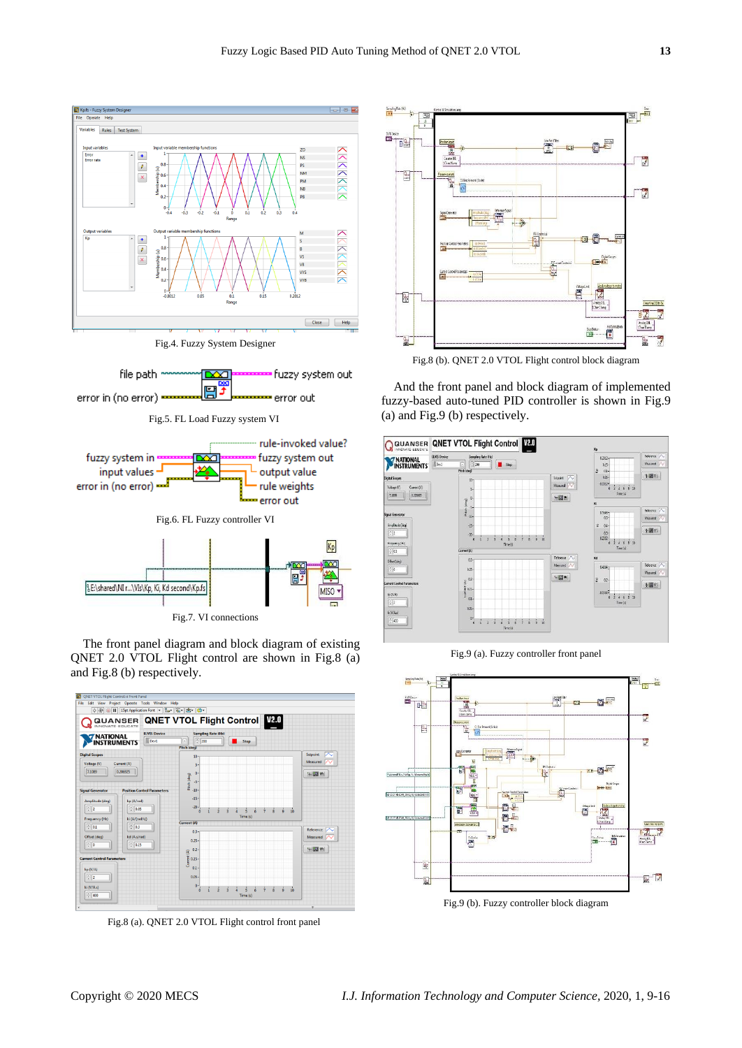

Fig.4. Fuzzy System Designer



The front panel diagram and block diagram of existing QNET 2.0 VTOL Flight control are shown in Fig.8 (a) and Fig.8 (b) respectively.



Fig.8 (a). QNET 2.0 VTOL Flight control front panel



Fig.8 (b). QNET 2.0 VTOL Flight control block diagram

And the front panel and block diagram of implemented fuzzy-based auto-tuned PID controller is shown in Fig.9 (a) and Fig.9 (b) respectively.



Fig.9 (a). Fuzzy controller front panel



Fig.9 (b). Fuzzy controller block diagram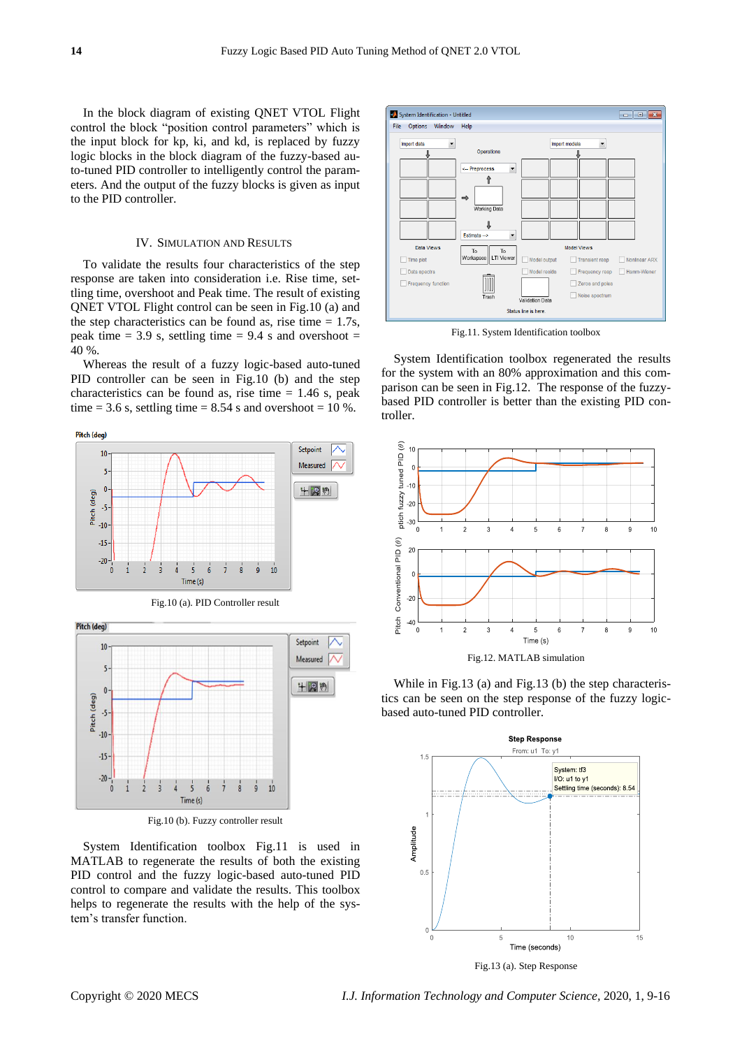In the block diagram of existing QNET VTOL Flight control the block "position control parameters" which is the input block for kp, ki, and kd, is replaced by fuzzy logic blocks in the block diagram of the fuzzy-based auto-tuned PID controller to intelligently control the parameters. And the output of the fuzzy blocks is given as input to the PID controller.

# IV. SIMULATION AND RESULTS

To validate the results four characteristics of the step response are taken into consideration i.e. Rise time, settling time, overshoot and Peak time. The result of existing QNET VTOL Flight control can be seen in Fig.10 (a) and the step characteristics can be found as, rise time  $= 1.7$ s, peak time  $= 3.9$  s, settling time  $= 9.4$  s and overshoot  $=$ 40 %.

Whereas the result of a fuzzy logic-based auto-tuned PID controller can be seen in Fig.10 (b) and the step characteristics can be found as, rise time  $= 1.46$  s, peak time = 3.6 s, settling time =  $8.54$  s and overshoot =  $10\%$ .

Pitch (deg)





System Identification toolbox Fig.11 is used in MATLAB to regenerate the results of both the existing PID control and the fuzzy logic-based auto-tuned PID control to compare and validate the results. This toolbox helps to regenerate the results with the help of the system's transfer function.



Fig.11. System Identification toolbox

System Identification toolbox regenerated the results for the system with an 80% approximation and this comparison can be seen in Fig.12. The response of the fuzzybased PID controller is better than the existing PID controller.



While in Fig.13 (a) and Fig.13 (b) the step characteristics can be seen on the step response of the fuzzy logicbased auto-tuned PID controller.



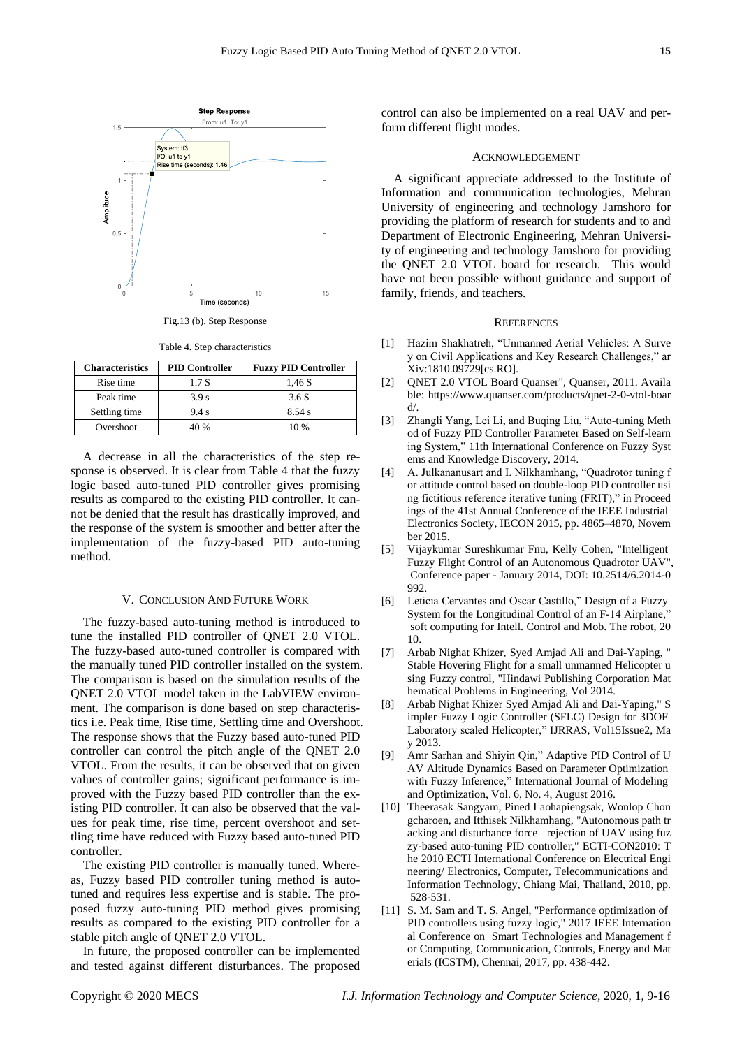

Fig.13 (b). Step Response

Table 4. Step characteristics

| <b>Characteristics</b> | <b>PID Controller</b> | <b>Fuzzy PID Controller</b> |
|------------------------|-----------------------|-----------------------------|
| Rise time              | 1.7 S                 | 1,46 S                      |
| Peak time              | 3.9 <sub>s</sub>      | 3.6S                        |
| Settling time          | 9.4 s                 | 8.54 s                      |
| Overshoot              | 40 %                  | 10%                         |

A decrease in all the characteristics of the step response is observed. It is clear from Table 4 that the fuzzy logic based auto-tuned PID controller gives promising results as compared to the existing PID controller. It cannot be denied that the result has drastically improved, and the response of the system is smoother and better after the implementation of the fuzzy-based PID auto-tuning method.

#### V. CONCLUSION AND FUTURE WORK

The fuzzy-based auto-tuning method is introduced to tune the installed PID controller of QNET 2.0 VTOL. The fuzzy-based auto-tuned controller is compared with the manually tuned PID controller installed on the system. The comparison is based on the simulation results of the QNET 2.0 VTOL model taken in the LabVIEW environment. The comparison is done based on step characteristics i.e. Peak time, Rise time, Settling time and Overshoot. The response shows that the Fuzzy based auto-tuned PID controller can control the pitch angle of the QNET 2.0 VTOL. From the results, it can be observed that on given values of controller gains; significant performance is improved with the Fuzzy based PID controller than the existing PID controller. It can also be observed that the values for peak time, rise time, percent overshoot and settling time have reduced with Fuzzy based auto-tuned PID controller.

The existing PID controller is manually tuned. Whereas, Fuzzy based PID controller tuning method is autotuned and requires less expertise and is stable. The proposed fuzzy auto-tuning PID method gives promising results as compared to the existing PID controller for a stable pitch angle of QNET 2.0 VTOL.

In future, the proposed controller can be implemented and tested against different disturbances. The proposed control can also be implemented on a real UAV and perform different flight modes.

# ACKNOWLEDGEMENT

A significant appreciate addressed to the Institute of Information and communication technologies, Mehran University of engineering and technology Jamshoro for providing the platform of research for students and to and Department of Electronic Engineering, Mehran University of engineering and technology Jamshoro for providing the QNET 2.0 VTOL board for research. This would have not been possible without guidance and support of family, friends, and teachers.

# **REFERENCES**

- [1] Hazim Shakhatreh, "Unmanned Aerial Vehicles: A Surve y on Civil Applications and Key Research Challenges," ar Xiv:1810.09729[cs.RO].
- [2] QNET 2.0 VTOL Board Quanser", Quanser, 2011. Availa ble: https://www.quanser.com/products/qnet-2-0-vtol-boar d/.
- [3] Zhangli Yang, Lei Li, and Buqing Liu, "Auto-tuning Meth od of Fuzzy PID Controller Parameter Based on Self-learn ing System," 11th International Conference on Fuzzy Syst ems and Knowledge Discovery, 2014.
- [4] A. Julkananusart and I. Nilkhamhang, "Quadrotor tuning f or attitude control based on double-loop PID controller usi ng fictitious reference iterative tuning (FRIT)," in Proceed ings of the 41st Annual Conference of the IEEE Industrial Electronics Society, IECON 2015, pp. 4865–4870, Novem ber 2015.
- [5] Vijaykumar Sureshkumar Fnu, Kelly Cohen, "Intelligent Fuzzy Flight Control of an Autonomous Quadrotor UAV", Conference paper - January 2014, DOI: 10.2514/6.2014-0 992.
- [6] Leticia Cervantes and Oscar Castillo," Design of a Fuzzy System for the Longitudinal Control of an F-14 Airplane, soft computing for Intell. Control and Mob. The robot, 20 10.
- [7] Arbab Nighat Khizer, Syed Amjad Ali and Dai-Yaping, " Stable Hovering Flight for a small unmanned Helicopter u sing Fuzzy control, "Hindawi Publishing Corporation Mat hematical Problems in Engineering, Vol 2014.
- [8] Arbab Nighat Khizer Syed Amjad Ali and Dai-Yaping," S impler Fuzzy Logic Controller (SFLC) Design for 3DOF Laboratory scaled Helicopter," IJRRAS, Vol15Issue2, Ma y 2013.
- [9] Amr Sarhan and Shiyin Qin," Adaptive PID Control of U AV Altitude Dynamics Based on Parameter Optimization with Fuzzy Inference," International Journal of Modeling and Optimization, Vol. 6, No. 4, August 2016.
- [10] Theerasak Sangyam, Pined Laohapiengsak, Wonlop Chon gcharoen, and Itthisek Nilkhamhang, "Autonomous path tr acking and disturbance force rejection of UAV using fuz zy-based auto-tuning PID controller," ECTI-CON2010: T he 2010 ECTI International Conference on Electrical Engi neering/ Electronics, Computer, Telecommunications and Information Technology, Chiang Mai, Thailand, 2010, pp. 528-531.
- [11] S. M. Sam and T. S. Angel, "Performance optimization of PID controllers using fuzzy logic," 2017 IEEE Internation al Conference on Smart Technologies and Management f or Computing, Communication, Controls, Energy and Mat erials (ICSTM), Chennai, 2017, pp. 438-442.